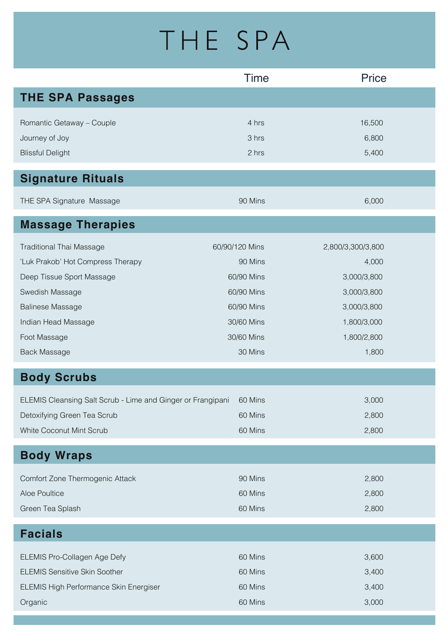## THE SPA

| <b>THE SPA Passages</b><br>Romantic Getaway - Couple<br>4 hrs<br>16,500<br>Journey of Joy<br>6,800<br>3 hrs<br>2 hrs | <b>Blissful Delight</b> |
|----------------------------------------------------------------------------------------------------------------------|-------------------------|
|                                                                                                                      |                         |
|                                                                                                                      |                         |
|                                                                                                                      |                         |
| 5,400                                                                                                                |                         |
| <b>Signature Rituals</b>                                                                                             |                         |
| THE SPA Signature Massage<br>90 Mins<br>6,000                                                                        |                         |
| <b>Massage Therapies</b>                                                                                             |                         |
| 60/90/120 Mins<br><b>Traditional Thai Massage</b><br>2,800/3,300/3,800                                               |                         |
| 'Luk Prakob' Hot Compress Therapy<br>90 Mins<br>4,000                                                                |                         |
| 60/90 Mins<br>3,000/3,800<br>Deep Tissue Sport Massage                                                               |                         |
| 60/90 Mins<br>3,000/3,800<br>Swedish Massage                                                                         |                         |
| <b>Balinese Massage</b><br>60/90 Mins<br>3,000/3,800                                                                 |                         |
| Indian Head Massage<br>30/60 Mins<br>1,800/3,000                                                                     |                         |
| 30/60 Mins<br>1,800/2,800<br>Foot Massage                                                                            |                         |
| 30 Mins<br><b>Back Massage</b><br>1,800                                                                              |                         |
| <b>Body Scrubs</b>                                                                                                   |                         |
| ELEMIS Cleansing Salt Scrub - Lime and Ginger or Frangipani<br>3,000<br>60 Mins                                      |                         |
| Detoxifying Green Tea Scrub<br>60 Mins<br>2,800                                                                      |                         |
| 2,800<br>White Coconut Mint Scrub<br>60 Mins                                                                         |                         |
| <b>Body Wraps</b>                                                                                                    |                         |
| Comfort Zone Thermogenic Attack<br>90 Mins<br>2,800                                                                  |                         |
| Aloe Poultice<br>60 Mins<br>2,800                                                                                    |                         |
| Green Tea Splash<br>60 Mins<br>2,800                                                                                 |                         |
| <b>Facials</b>                                                                                                       |                         |
| ELEMIS Pro-Collagen Age Defy<br>60 Mins<br>3,600                                                                     |                         |
| <b>ELEMIS Sensitive Skin Soother</b><br>60 Mins<br>3,400                                                             |                         |
| 3,400<br>ELEMIS High Performance Skin Energiser<br>60 Mins                                                           |                         |
| Organic<br>60 Mins<br>3,000                                                                                          |                         |